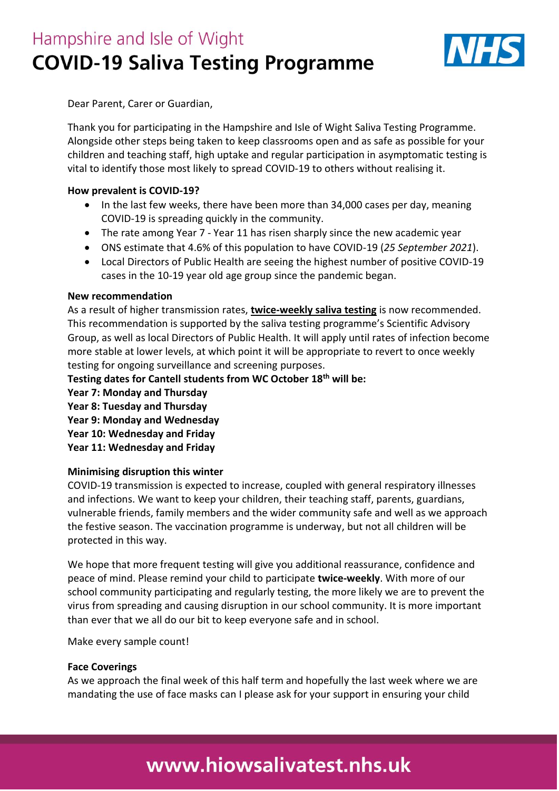## Hampshire and Isle of Wight **COVID-19 Saliva Testing Programme**



Dear Parent, Carer or Guardian,

Thank you for participating in the Hampshire and Isle of Wight Saliva Testing Programme. Alongside other steps being taken to keep classrooms open and as safe as possible for your children and teaching staff, high uptake and regular participation in asymptomatic testing is vital to identify those most likely to spread COVID-19 to others without realising it.

#### **How prevalent is COVID-19?**

- In the last few weeks, there have been more than 34,000 cases per day, meaning COVID-19 is spreading quickly in the community.
- The rate among Year 7 Year 11 has risen sharply since the new academic year
- ONS estimate that 4.6% of this population to have COVID-19 (*25 September 2021*).
- Local Directors of Public Health are seeing the highest number of positive COVID-19 cases in the 10-19 year old age group since the pandemic began.

#### **New recommendation**

As a result of higher transmission rates, **twice-weekly saliva testing** is now recommended. This recommendation is supported by the saliva testing programme's Scientific Advisory Group, as well as local Directors of Public Health. It will apply until rates of infection become more stable at lower levels, at which point it will be appropriate to revert to once weekly testing for ongoing surveillance and screening purposes.

**Testing dates for Cantell students from WC October 18th will be:**

- **Year 7: Monday and Thursday**
- **Year 8: Tuesday and Thursday**
- **Year 9: Monday and Wednesday**
- **Year 10: Wednesday and Friday**
- **Year 11: Wednesday and Friday**

#### **Minimising disruption this winter**

COVID-19 transmission is expected to increase, coupled with general respiratory illnesses and infections. We want to keep your children, their teaching staff, parents, guardians, vulnerable friends, family members and the wider community safe and well as we approach the festive season. The vaccination programme is underway, but not all children will be protected in this way.

We hope that more frequent testing will give you additional reassurance, confidence and peace of mind. Please remind your child to participate **twice-weekly**. With more of our school community participating and regularly testing, the more likely we are to prevent the virus from spreading and causing disruption in our school community. It is more important than ever that we all do our bit to keep everyone safe and in school.

Make every sample count!

#### **Face Coverings**

As we approach the final week of this half term and hopefully the last week where we are mandating the use of face masks can I please ask for your support in ensuring your child

# www.hiowsalivatest.nhs.uk